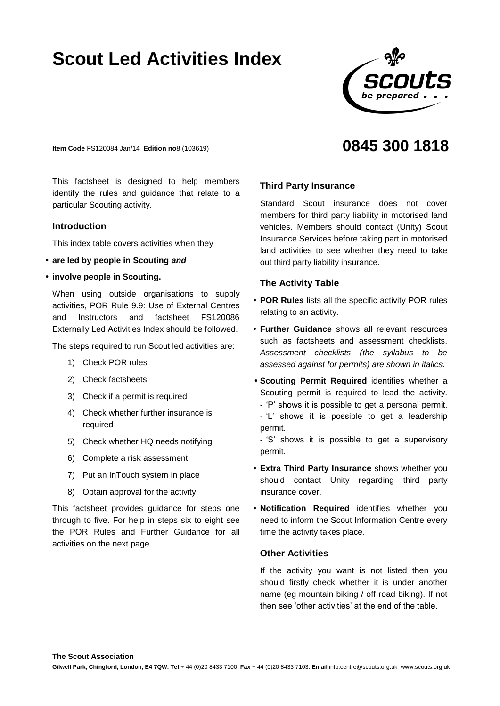# **Scout Led Activities Index**



**0845 300 1818**

**Item Code** FS120084 Jan/14 **Edition no**8 (103619)

This factsheet is designed to help members identify the rules and guidance that relate to a particular Scouting activity.

## **Introduction**

This index table covers activities when they

- **are led by people in Scouting** *and*
- **involve people in Scouting.**

When using outside organisations to supply activities, POR Rule 9.9: Use of External Centres and Instructors and factsheet FS120086 Externally Led Activities Index should be followed.

The steps required to run Scout led activities are:

- 1) Check POR rules
- 2) Check factsheets
- 3) Check if a permit is required
- 4) Check whether further insurance is required
- 5) Check whether HQ needs notifying
- 6) Complete a risk assessment
- 7) Put an InTouch system in place
- 8) Obtain approval for the activity

This factsheet provides guidance for steps one through to five. For help in steps six to eight see the POR Rules and Further Guidance for all activities on the next page.

#### **Third Party Insurance**

Standard Scout insurance does not cover members for third party liability in motorised land vehicles. Members should contact (Unity) Scout Insurance Services before taking part in motorised land activities to see whether they need to take out third party liability insurance.

# **The Activity Table**

- **POR Rules** lists all the specific activity POR rules relating to an activity.
- **Further Guidance** shows all relevant resources such as factsheets and assessment checklists. *Assessment checklists (the syllabus to be assessed against for permits) are shown in italics.*
- **Scouting Permit Required** identifies whether a Scouting permit is required to lead the activity. - 'P' shows it is possible to get a personal permit. - 'L' shows it is possible to get a leadership permit.

- 'S' shows it is possible to get a supervisory permit.

- **Extra Third Party Insurance** shows whether you should contact Unity regarding third party insurance cover.
- **Notification Required** identifies whether you need to inform the Scout Information Centre every time the activity takes place.

# **Other Activities**

If the activity you want is not listed then you should firstly check whether it is under another name (eg mountain biking / off road biking). If not then see 'other activities' at the end of the table.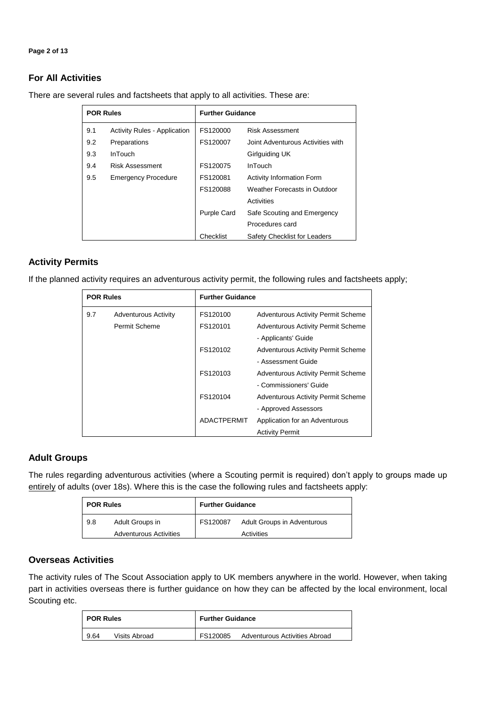#### **Page 2 of 13**

# **For All Activities**

|     | <b>POR Rules</b>                    | <b>Further Guidance</b> |                                   |  |
|-----|-------------------------------------|-------------------------|-----------------------------------|--|
| 9.1 | <b>Activity Rules - Application</b> | FS120000                | <b>Risk Assessment</b>            |  |
| 9.2 | Preparations                        | FS120007                | Joint Adventurous Activities with |  |
| 9.3 | InTouch                             |                         | Girlguiding UK                    |  |
| 9.4 | <b>Risk Assessment</b>              | FS120075                | InTouch                           |  |
| 9.5 | <b>Emergency Procedure</b>          | FS120081                | <b>Activity Information Form</b>  |  |
|     |                                     | FS120088                | Weather Forecasts in Outdoor      |  |
|     |                                     |                         | Activities                        |  |
|     |                                     | <b>Purple Card</b>      | Safe Scouting and Emergency       |  |
|     |                                     |                         | Procedures card                   |  |
|     |                                     | Checklist               | Safety Checklist for Leaders      |  |

There are several rules and factsheets that apply to all activities. These are:

# **Activity Permits**

If the planned activity requires an adventurous activity permit, the following rules and factsheets apply;

| <b>POR Rules</b> |                             | <b>Further Guidance</b> |                                           |  |
|------------------|-----------------------------|-------------------------|-------------------------------------------|--|
| 9.7              | <b>Adventurous Activity</b> | FS120100                | <b>Adventurous Activity Permit Scheme</b> |  |
|                  | Permit Scheme               | FS120101                | <b>Adventurous Activity Permit Scheme</b> |  |
|                  |                             |                         | - Applicants' Guide                       |  |
|                  |                             | FS120102                | <b>Adventurous Activity Permit Scheme</b> |  |
|                  |                             |                         | - Assessment Guide                        |  |
|                  |                             | FS120103                | <b>Adventurous Activity Permit Scheme</b> |  |
|                  |                             |                         | - Commissioners' Guide                    |  |
|                  |                             | FS120104                | <b>Adventurous Activity Permit Scheme</b> |  |
|                  |                             |                         | - Approved Assessors                      |  |
|                  |                             | <b>ADACTPERMIT</b>      | Application for an Adventurous            |  |
|                  |                             |                         | <b>Activity Permit</b>                    |  |

# **Adult Groups**

The rules regarding adventurous activities (where a Scouting permit is required) don't apply to groups made up entirely of adults (over 18s). Where this is the case the following rules and factsheets apply:

| <b>POR Rules</b> |                               | <b>Further Guidance</b> |                             |
|------------------|-------------------------------|-------------------------|-----------------------------|
| 9.8              | Adult Groups in               | FS120087                | Adult Groups in Adventurous |
|                  | <b>Adventurous Activities</b> |                         | Activities                  |

#### **Overseas Activities**

The activity rules of The Scout Association apply to UK members anywhere in the world. However, when taking part in activities overseas there is further guidance on how they can be affected by the local environment, local Scouting etc.

| <b>POR Rules</b> | <b>Further Guidance</b>       |
|------------------|-------------------------------|
| Visits Abroad    | FS120085                      |
| 9.64             | Adventurous Activities Abroad |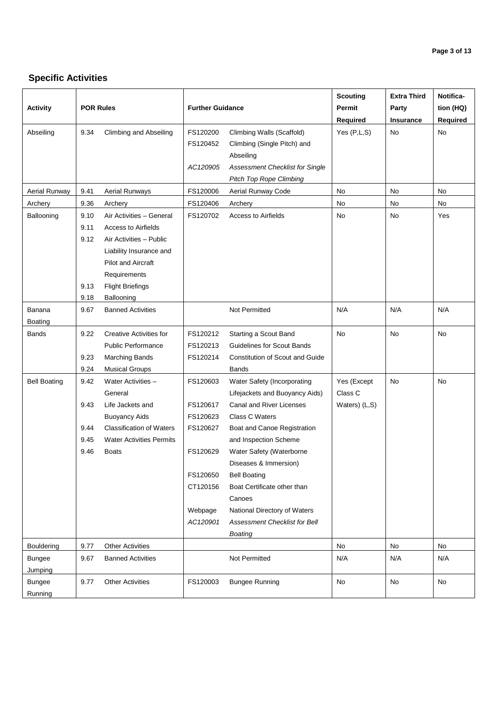# **Specific Activities**

| <b>Activity</b>          | <b>POR Rules</b>                     |                                                                                                                                                                                                    | <b>Further Guidance</b>          |                                                                                                                    | <b>Scouting</b><br>Permit<br><b>Required</b> | <b>Extra Third</b><br>Party<br>Insurance | Notifica-<br>tion (HQ)<br>Required |
|--------------------------|--------------------------------------|----------------------------------------------------------------------------------------------------------------------------------------------------------------------------------------------------|----------------------------------|--------------------------------------------------------------------------------------------------------------------|----------------------------------------------|------------------------------------------|------------------------------------|
| Abseiling                | 9.34                                 | Climbing and Abseiling                                                                                                                                                                             | FS120200<br>FS120452             | Climbing Walls (Scaffold)<br>Climbing (Single Pitch) and<br>Abseiling                                              | Yes(P,L,S)                                   | No                                       | No                                 |
|                          |                                      |                                                                                                                                                                                                    | AC120905                         | Assessment Checklist for Single<br><b>Pitch Top Rope Climbing</b>                                                  |                                              |                                          |                                    |
| <b>Aerial Runway</b>     | 9.41                                 | <b>Aerial Runways</b>                                                                                                                                                                              | FS120006                         | Aerial Runway Code                                                                                                 | No                                           | No                                       | No                                 |
| Archery                  | 9.36                                 | Archery                                                                                                                                                                                            | FS120406                         | Archery                                                                                                            | No                                           | No                                       | No                                 |
| Ballooning               | 9.10<br>9.11<br>9.12<br>9.13<br>9.18 | Air Activities - General<br><b>Access to Airfields</b><br>Air Activities - Public<br>Liability Insurance and<br><b>Pilot and Aircraft</b><br>Requirements<br><b>Flight Briefings</b><br>Ballooning | FS120702                         | <b>Access to Airfields</b>                                                                                         | No                                           | No                                       | Yes                                |
| Banana<br><b>Boating</b> | 9.67                                 | <b>Banned Activities</b>                                                                                                                                                                           |                                  | Not Permitted                                                                                                      | N/A                                          | N/A                                      | N/A                                |
| <b>Bands</b>             | 9.22<br>9.23<br>9.24                 | Creative Activities for<br><b>Public Performance</b><br><b>Marching Bands</b><br><b>Musical Groups</b>                                                                                             | FS120212<br>FS120213<br>FS120214 | Starting a Scout Band<br><b>Guidelines for Scout Bands</b><br>Constitution of Scout and Guide<br>Bands             | No                                           | No                                       | No                                 |
| <b>Bell Boating</b>      | 9.42<br>9.43                         | Water Activities -<br>General<br>Life Jackets and<br><b>Buoyancy Aids</b>                                                                                                                          | FS120603<br>FS120617<br>FS120623 | Water Safety (Incorporating<br>Lifejackets and Buoyancy Aids)<br><b>Canal and River Licenses</b><br>Class C Waters | Yes (Except<br>Class C<br>Waters) (L,S)      | No                                       | No                                 |
|                          | 9.44                                 | <b>Classification of Waters</b>                                                                                                                                                                    | FS120627                         | Boat and Canoe Registration                                                                                        |                                              |                                          |                                    |
|                          | 9.45                                 | <b>Water Activities Permits</b>                                                                                                                                                                    |                                  | and Inspection Scheme                                                                                              |                                              |                                          |                                    |
|                          | 9.46                                 | <b>Boats</b>                                                                                                                                                                                       | FS120629                         | Water Safety (Waterborne<br>Diseases & Immersion)                                                                  |                                              |                                          |                                    |
|                          |                                      |                                                                                                                                                                                                    | FS120650<br>CT120156             | <b>Bell Boating</b><br>Boat Certificate other than<br>Canoes                                                       |                                              |                                          |                                    |
|                          |                                      |                                                                                                                                                                                                    | Webpage<br>AC120901              | National Directory of Waters<br>Assessment Checklist for Bell<br>Boating                                           |                                              |                                          |                                    |
| <b>Bouldering</b>        | 9.77                                 | <b>Other Activities</b>                                                                                                                                                                            |                                  |                                                                                                                    | No                                           | No                                       | No                                 |
| <b>Bungee</b><br>Jumping | 9.67                                 | <b>Banned Activities</b>                                                                                                                                                                           |                                  | Not Permitted                                                                                                      | N/A                                          | N/A                                      | N/A                                |
| <b>Bungee</b><br>Running | 9.77                                 | <b>Other Activities</b>                                                                                                                                                                            | FS120003                         | <b>Bungee Running</b>                                                                                              | No                                           | No                                       | No                                 |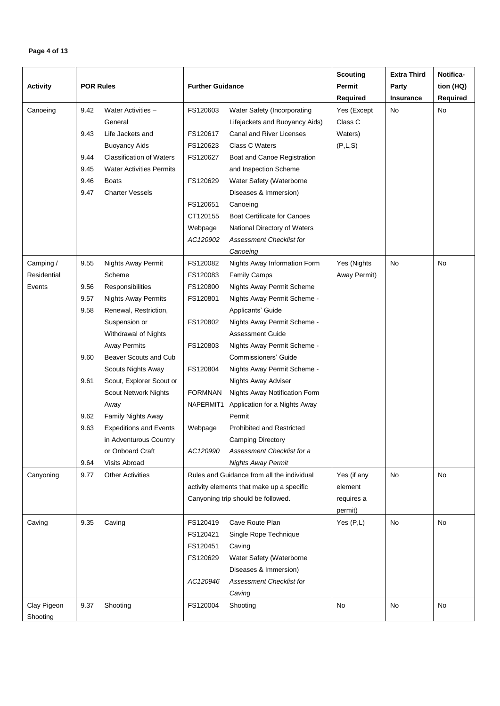# **Page 4 of 13**

|                 |                  |                                 |                         |                                            | <b>Scouting</b> | <b>Extra Third</b> | Notifica- |
|-----------------|------------------|---------------------------------|-------------------------|--------------------------------------------|-----------------|--------------------|-----------|
| <b>Activity</b> | <b>POR Rules</b> |                                 | <b>Further Guidance</b> |                                            | Permit          | Party              | tion (HQ) |
|                 |                  |                                 |                         |                                            | Required        | <b>Insurance</b>   | Required  |
| Canoeing        | 9.42             | Water Activities -              | FS120603                | Water Safety (Incorporating                | Yes (Except     | <b>No</b>          | No        |
|                 |                  | General                         |                         | Lifejackets and Buoyancy Aids)             | Class C         |                    |           |
|                 | 9.43             | Life Jackets and                | FS120617                | Canal and River Licenses                   | Waters)         |                    |           |
|                 |                  | <b>Buoyancy Aids</b>            | FS120623                | Class C Waters                             | (P,L,S)         |                    |           |
|                 | 9.44             | <b>Classification of Waters</b> | FS120627                | Boat and Canoe Registration                |                 |                    |           |
|                 | 9.45             | <b>Water Activities Permits</b> |                         | and Inspection Scheme                      |                 |                    |           |
|                 | 9.46             | <b>Boats</b>                    | FS120629                | Water Safety (Waterborne                   |                 |                    |           |
|                 | 9.47             | <b>Charter Vessels</b>          |                         | Diseases & Immersion)                      |                 |                    |           |
|                 |                  |                                 | FS120651                | Canoeing                                   |                 |                    |           |
|                 |                  |                                 | CT120155                | <b>Boat Certificate for Canoes</b>         |                 |                    |           |
|                 |                  |                                 | Webpage                 | National Directory of Waters               |                 |                    |           |
|                 |                  |                                 | AC120902                | <b>Assessment Checklist for</b>            |                 |                    |           |
|                 |                  |                                 |                         | Canoeing                                   |                 |                    |           |
| Camping /       | 9.55             | <b>Nights Away Permit</b>       | FS120082                | Nights Away Information Form               | Yes (Nights     | No                 | No        |
| Residential     |                  | Scheme                          | FS120083                | <b>Family Camps</b>                        | Away Permit)    |                    |           |
| Events          | 9.56             | Responsibilities                | FS120800                | Nights Away Permit Scheme                  |                 |                    |           |
|                 | 9.57             | <b>Nights Away Permits</b>      | FS120801                | Nights Away Permit Scheme -                |                 |                    |           |
|                 | 9.58             | Renewal, Restriction,           |                         | Applicants' Guide                          |                 |                    |           |
|                 |                  | Suspension or                   | FS120802                | Nights Away Permit Scheme -                |                 |                    |           |
|                 |                  | Withdrawal of Nights            |                         | <b>Assessment Guide</b>                    |                 |                    |           |
|                 |                  | <b>Away Permits</b>             | FS120803                | Nights Away Permit Scheme -                |                 |                    |           |
|                 | 9.60             | Beaver Scouts and Cub           |                         | Commissioners' Guide                       |                 |                    |           |
|                 |                  | Scouts Nights Away              | FS120804                | Nights Away Permit Scheme -                |                 |                    |           |
|                 | 9.61             | Scout, Explorer Scout or        |                         | Nights Away Adviser                        |                 |                    |           |
|                 |                  | <b>Scout Network Nights</b>     | <b>FORMNAN</b>          | Nights Away Notification Form              |                 |                    |           |
|                 |                  | Away                            | NAPERMIT1               | Application for a Nights Away              |                 |                    |           |
|                 | 9.62             | Family Nights Away              |                         | Permit                                     |                 |                    |           |
|                 | 9.63             | <b>Expeditions and Events</b>   | Webpage                 | <b>Prohibited and Restricted</b>           |                 |                    |           |
|                 |                  | in Adventurous Country          |                         | Camping Directory                          |                 |                    |           |
|                 |                  | or Onboard Craft                | AC120990                | Assessment Checklist for a                 |                 |                    |           |
|                 | 9.64             | Visits Abroad                   |                         | <b>Nights Away Permit</b>                  |                 |                    |           |
| Canyoning       | 9.77             | <b>Other Activities</b>         |                         | Rules and Guidance from all the individual | Yes (if any     | No                 | No        |
|                 |                  |                                 |                         | activity elements that make up a specific  | element         |                    |           |
|                 |                  |                                 |                         | Canyoning trip should be followed.         | requires a      |                    |           |
|                 |                  |                                 | FS120419                | Cave Route Plan                            | permit)         |                    |           |
| Caving          | 9.35             | Caving                          |                         |                                            | Yes $(P,L)$     | No                 | No        |
|                 |                  |                                 | FS120421                | Single Rope Technique                      |                 |                    |           |
|                 |                  |                                 | FS120451<br>FS120629    | Caving<br>Water Safety (Waterborne         |                 |                    |           |
|                 |                  |                                 |                         |                                            |                 |                    |           |
|                 |                  |                                 |                         | Diseases & Immersion)                      |                 |                    |           |
|                 |                  |                                 | AC120946                | <b>Assessment Checklist for</b>            |                 |                    |           |
|                 |                  |                                 |                         | Caving                                     |                 | No                 |           |
| Clay Pigeon     | 9.37             | Shooting                        | FS120004                | Shooting                                   | No              |                    | No        |
| Shooting        |                  |                                 |                         |                                            |                 |                    |           |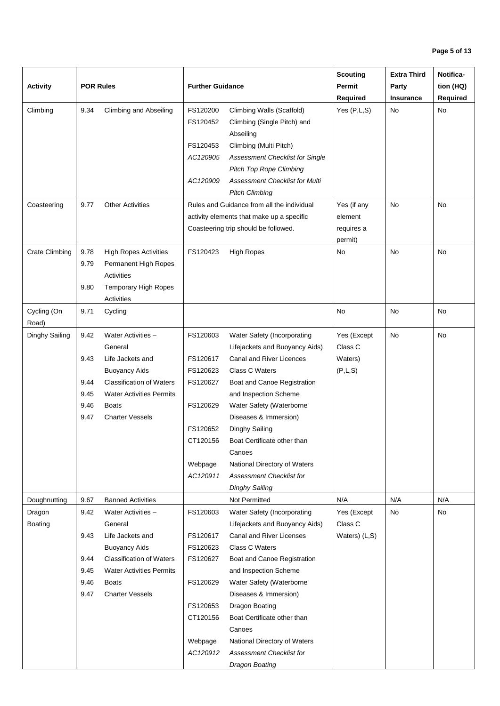|                       |                  |                                           |                         |                                                   | <b>Scouting</b> | <b>Extra Third</b> | Notifica- |
|-----------------------|------------------|-------------------------------------------|-------------------------|---------------------------------------------------|-----------------|--------------------|-----------|
| <b>Activity</b>       | <b>POR Rules</b> |                                           | <b>Further Guidance</b> |                                                   | Permit          | Party              | tion (HQ) |
|                       |                  |                                           |                         |                                                   | Required        | <b>Insurance</b>   | Required  |
| Climbing              | 9.34             | <b>Climbing and Abseiling</b>             | FS120200                | Climbing Walls (Scaffold)                         | Yes $(P,L,S)$   | No                 | No        |
|                       |                  |                                           | FS120452                | Climbing (Single Pitch) and                       |                 |                    |           |
|                       |                  |                                           |                         | Abseiling                                         |                 |                    |           |
|                       |                  |                                           | FS120453                | Climbing (Multi Pitch)                            |                 |                    |           |
|                       |                  |                                           | AC120905                | Assessment Checklist for Single                   |                 |                    |           |
|                       |                  |                                           |                         | <b>Pitch Top Rope Climbing</b>                    |                 |                    |           |
|                       |                  |                                           | AC120909                | Assessment Checklist for Multi                    |                 |                    |           |
|                       |                  |                                           |                         | <b>Pitch Climbing</b>                             |                 |                    |           |
| Coasteering           | 9.77             | <b>Other Activities</b>                   |                         | Rules and Guidance from all the individual        | Yes (if any     | <b>No</b>          | <b>No</b> |
|                       |                  |                                           |                         | activity elements that make up a specific         | element         |                    |           |
|                       |                  |                                           |                         | Coasteering trip should be followed.              | requires a      |                    |           |
|                       |                  |                                           |                         |                                                   | permit)         |                    |           |
| <b>Crate Climbing</b> | 9.78             | <b>High Ropes Activities</b>              | FS120423                | <b>High Ropes</b>                                 | No              | <b>No</b>          | No.       |
|                       | 9.79             | Permanent High Ropes                      |                         |                                                   |                 |                    |           |
|                       |                  | Activities                                |                         |                                                   |                 |                    |           |
|                       | 9.80             | <b>Temporary High Ropes</b><br>Activities |                         |                                                   |                 |                    |           |
| Cycling (On           | 9.71             | Cycling                                   |                         |                                                   | No              | No                 | No        |
| Road)                 |                  |                                           |                         |                                                   |                 |                    |           |
| Dinghy Sailing        | 9.42             | Water Activities -                        | FS120603                | Water Safety (Incorporating                       | Yes (Except     | <b>No</b>          | <b>No</b> |
|                       |                  | General                                   |                         | Lifejackets and Buoyancy Aids)                    | Class C         |                    |           |
|                       | 9.43             | Life Jackets and                          | FS120617                | Canal and River Licences                          | Waters)         |                    |           |
|                       |                  | <b>Buoyancy Aids</b>                      | FS120623                | Class C Waters                                    | (P,L,S)         |                    |           |
|                       | 9.44             | <b>Classification of Waters</b>           | FS120627                | Boat and Canoe Registration                       |                 |                    |           |
|                       | 9.45             | <b>Water Activities Permits</b>           |                         | and Inspection Scheme                             |                 |                    |           |
|                       | 9.46             | <b>Boats</b>                              | FS120629                | Water Safety (Waterborne                          |                 |                    |           |
|                       | 9.47             | <b>Charter Vessels</b>                    |                         | Diseases & Immersion)                             |                 |                    |           |
|                       |                  |                                           | FS120652                | Dinghy Sailing                                    |                 |                    |           |
|                       |                  |                                           | CT120156                | Boat Certificate other than                       |                 |                    |           |
|                       |                  |                                           |                         | Canoes                                            |                 |                    |           |
|                       |                  |                                           | Webpage                 | National Directory of Waters                      |                 |                    |           |
|                       |                  |                                           | AC120911                | Assessment Checklist for                          |                 |                    |           |
|                       |                  |                                           |                         | Dinghy Sailing                                    |                 |                    |           |
| Doughnutting          | 9.67             | <b>Banned Activities</b>                  |                         | Not Permitted                                     | N/A             | N/A                | N/A       |
| Dragon                | 9.42             | Water Activities -                        | FS120603                | Water Safety (Incorporating                       | Yes (Except     | No                 | No        |
| <b>Boating</b>        |                  | General                                   |                         | Lifejackets and Buoyancy Aids)                    | Class C         |                    |           |
|                       | 9.43             | Life Jackets and                          | FS120617                | Canal and River Licenses                          | Waters) (L,S)   |                    |           |
|                       |                  | <b>Buoyancy Aids</b>                      | FS120623                | Class C Waters                                    |                 |                    |           |
|                       | 9.44             | <b>Classification of Waters</b>           | FS120627                | Boat and Canoe Registration                       |                 |                    |           |
|                       | 9.45             | <b>Water Activities Permits</b>           |                         | and Inspection Scheme                             |                 |                    |           |
|                       | 9.46<br>9.47     | <b>Boats</b><br><b>Charter Vessels</b>    | FS120629                | Water Safety (Waterborne<br>Diseases & Immersion) |                 |                    |           |
|                       |                  |                                           | FS120653                | Dragon Boating                                    |                 |                    |           |
|                       |                  |                                           | CT120156                | Boat Certificate other than                       |                 |                    |           |
|                       |                  |                                           |                         | Canoes                                            |                 |                    |           |
|                       |                  |                                           | Webpage                 | National Directory of Waters                      |                 |                    |           |
|                       |                  |                                           | AC120912                | <b>Assessment Checklist for</b>                   |                 |                    |           |
|                       |                  |                                           |                         | Dragon Boating                                    |                 |                    |           |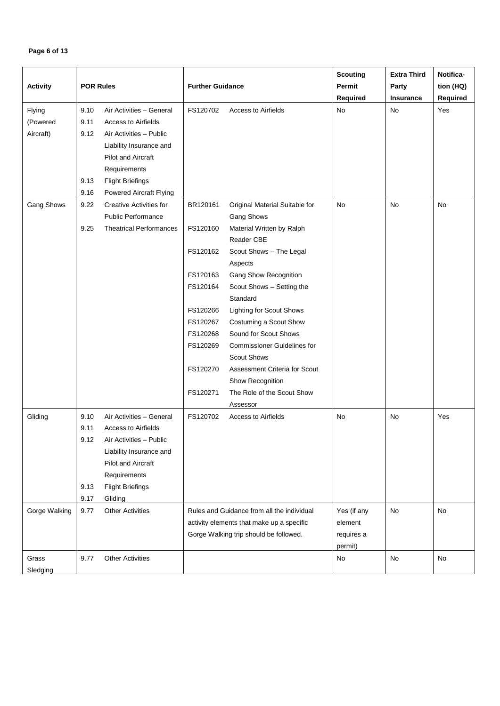# **Page 6 of 13**

|                 |                  |                                                      |                         |                                            | <b>Scouting</b> | <b>Extra Third</b> | Notifica- |
|-----------------|------------------|------------------------------------------------------|-------------------------|--------------------------------------------|-----------------|--------------------|-----------|
| <b>Activity</b> | <b>POR Rules</b> |                                                      | <b>Further Guidance</b> |                                            | Permit          | Party              | tion (HQ) |
|                 |                  |                                                      |                         |                                            | Required        | Insurance          | Required  |
| Flying          | 9.10             | Air Activities - General                             | FS120702                | Access to Airfields                        | No              | No                 | Yes       |
| (Powered        | 9.11             | <b>Access to Airfields</b>                           |                         |                                            |                 |                    |           |
| Aircraft)       | 9.12             | Air Activities - Public                              |                         |                                            |                 |                    |           |
|                 |                  |                                                      |                         |                                            |                 |                    |           |
|                 |                  | Liability Insurance and<br><b>Pilot and Aircraft</b> |                         |                                            |                 |                    |           |
|                 |                  |                                                      |                         |                                            |                 |                    |           |
|                 |                  | Requirements                                         |                         |                                            |                 |                    |           |
|                 | 9.13             | <b>Flight Briefings</b>                              |                         |                                            |                 |                    |           |
|                 | 9.16             | <b>Powered Aircraft Flying</b>                       |                         |                                            |                 |                    |           |
| Gang Shows      | 9.22             | <b>Creative Activities for</b>                       | BR120161                | Original Material Suitable for             | No              | No                 | No        |
|                 |                  | <b>Public Performance</b>                            |                         | Gang Shows                                 |                 |                    |           |
|                 | 9.25             | <b>Theatrical Performances</b>                       | FS120160                | Material Written by Ralph                  |                 |                    |           |
|                 |                  |                                                      |                         | Reader CBE                                 |                 |                    |           |
|                 |                  |                                                      | FS120162                | Scout Shows - The Legal                    |                 |                    |           |
|                 |                  |                                                      |                         | Aspects                                    |                 |                    |           |
|                 |                  |                                                      | FS120163                | <b>Gang Show Recognition</b>               |                 |                    |           |
|                 |                  |                                                      | FS120164                | Scout Shows - Setting the                  |                 |                    |           |
|                 |                  |                                                      |                         | Standard                                   |                 |                    |           |
|                 |                  |                                                      | FS120266                | <b>Lighting for Scout Shows</b>            |                 |                    |           |
|                 |                  |                                                      | FS120267                | Costuming a Scout Show                     |                 |                    |           |
|                 |                  |                                                      | FS120268                | Sound for Scout Shows                      |                 |                    |           |
|                 |                  |                                                      | FS120269                | <b>Commissioner Guidelines for</b>         |                 |                    |           |
|                 |                  |                                                      |                         | <b>Scout Shows</b>                         |                 |                    |           |
|                 |                  |                                                      | FS120270                | Assessment Criteria for Scout              |                 |                    |           |
|                 |                  |                                                      |                         | Show Recognition                           |                 |                    |           |
|                 |                  |                                                      | FS120271                | The Role of the Scout Show                 |                 |                    |           |
|                 |                  |                                                      |                         | Assessor                                   |                 |                    |           |
| Gliding         | 9.10             | Air Activities - General                             | FS120702                | <b>Access to Airfields</b>                 | No              | No                 | Yes       |
|                 | 9.11             | <b>Access to Airfields</b>                           |                         |                                            |                 |                    |           |
|                 | 9.12             | Air Activities - Public                              |                         |                                            |                 |                    |           |
|                 |                  | Liability Insurance and                              |                         |                                            |                 |                    |           |
|                 |                  | Pilot and Aircraft                                   |                         |                                            |                 |                    |           |
|                 |                  | Requirements                                         |                         |                                            |                 |                    |           |
|                 | 9.13             | <b>Flight Briefings</b>                              |                         |                                            |                 |                    |           |
|                 | 9.17             | Gliding                                              |                         |                                            |                 |                    |           |
| Gorge Walking   | 9.77             | <b>Other Activities</b>                              |                         | Rules and Guidance from all the individual | Yes (if any     | <b>No</b>          | No        |
|                 |                  |                                                      |                         | activity elements that make up a specific  | element         |                    |           |
|                 |                  |                                                      |                         | Gorge Walking trip should be followed.     | requires a      |                    |           |
|                 |                  |                                                      |                         |                                            | permit)         |                    |           |
| Grass           | 9.77             | <b>Other Activities</b>                              |                         |                                            | No              | No                 | No        |
| Sledging        |                  |                                                      |                         |                                            |                 |                    |           |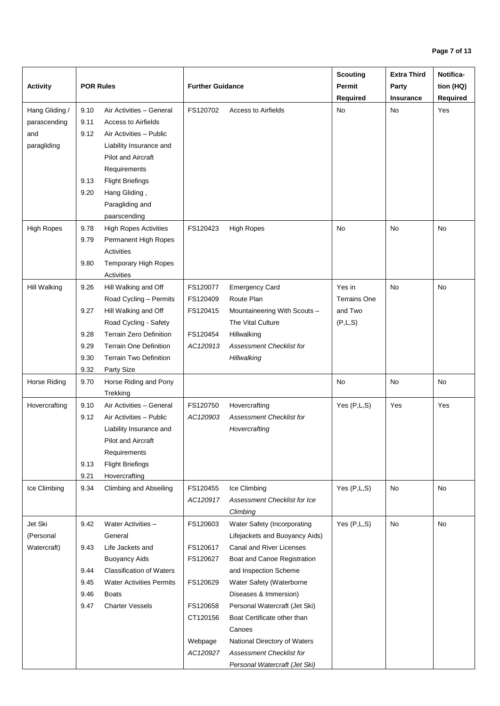|                   |                  |                                               |                         |                                     | <b>Scouting</b>     | <b>Extra Third</b> | Notifica- |
|-------------------|------------------|-----------------------------------------------|-------------------------|-------------------------------------|---------------------|--------------------|-----------|
| <b>Activity</b>   | <b>POR Rules</b> |                                               | <b>Further Guidance</b> |                                     | Permit              | Party              | tion (HQ) |
|                   |                  |                                               |                         |                                     | Required            | <b>Insurance</b>   | Required  |
| Hang Gliding /    | 9.10             | Air Activities - General                      | FS120702                | <b>Access to Airfields</b>          | No                  | No                 | Yes       |
| parascending      | 9.11             | <b>Access to Airfields</b>                    |                         |                                     |                     |                    |           |
| and               | 9.12             | Air Activities - Public                       |                         |                                     |                     |                    |           |
| paragliding       |                  | Liability Insurance and                       |                         |                                     |                     |                    |           |
|                   |                  | <b>Pilot and Aircraft</b>                     |                         |                                     |                     |                    |           |
|                   |                  | Requirements                                  |                         |                                     |                     |                    |           |
|                   | 9.13             | <b>Flight Briefings</b>                       |                         |                                     |                     |                    |           |
|                   | 9.20             | Hang Gliding,                                 |                         |                                     |                     |                    |           |
|                   |                  | Paragliding and                               |                         |                                     |                     |                    |           |
|                   |                  | paarscending                                  |                         |                                     |                     |                    |           |
| <b>High Ropes</b> | 9.78             | <b>High Ropes Activities</b>                  | FS120423                | <b>High Ropes</b>                   | No                  | No                 | No        |
|                   | 9.79             | Permanent High Ropes                          |                         |                                     |                     |                    |           |
|                   |                  | <b>Activities</b>                             |                         |                                     |                     |                    |           |
|                   | 9.80             | Temporary High Ropes                          |                         |                                     |                     |                    |           |
|                   |                  | <b>Activities</b>                             |                         |                                     |                     |                    |           |
| Hill Walking      | 9.26             | Hill Walking and Off                          | FS120077                | <b>Emergency Card</b>               | Yes in              | No                 | <b>No</b> |
|                   |                  | Road Cycling - Permits                        | FS120409                | Route Plan                          | <b>Terrains One</b> |                    |           |
|                   | 9.27             | Hill Walking and Off                          | FS120415                | Mountaineering With Scouts -        | and Two             |                    |           |
|                   |                  | Road Cycling - Safety                         |                         | The Vital Culture                   | (P,L,S)             |                    |           |
|                   | 9.28             | <b>Terrain Zero Definition</b>                | FS120454                | Hillwalking                         |                     |                    |           |
|                   | 9.29             | <b>Terrain One Definition</b>                 | AC120913                | <b>Assessment Checklist for</b>     |                     |                    |           |
|                   | 9.30             | <b>Terrain Two Definition</b>                 |                         | Hillwalking                         |                     |                    |           |
|                   | 9.32             | Party Size                                    |                         |                                     |                     |                    |           |
| Horse Riding      | 9.70             | Horse Riding and Pony                         |                         |                                     | No                  | No                 | No        |
|                   |                  | Trekking                                      |                         |                                     |                     |                    |           |
| Hovercrafting     | 9.10             | Air Activities - General                      | FS120750                | Hovercrafting                       | Yes (P,L,S)         | Yes                | Yes       |
|                   | 9.12             | Air Activities - Public                       | AC120903                | <b>Assessment Checklist for</b>     |                     |                    |           |
|                   |                  | Liability Insurance and<br>Pilot and Aircraft |                         | Hovercrafting                       |                     |                    |           |
|                   |                  | Requirements                                  |                         |                                     |                     |                    |           |
|                   | 9.13             | <b>Flight Briefings</b>                       |                         |                                     |                     |                    |           |
|                   | 9.21             | Hovercrafting                                 |                         |                                     |                     |                    |           |
| Ice Climbing      | 9.34             | <b>Climbing and Abseiling</b>                 | FS120455                | Ice Climbing                        | Yes(P,L,S)          | No                 | No        |
|                   |                  |                                               | AC120917                | <b>Assessment Checklist for Ice</b> |                     |                    |           |
|                   |                  |                                               |                         | Climbing                            |                     |                    |           |
| Jet Ski           | 9.42             | Water Activities -                            | FS120603                | Water Safety (Incorporating         | Yes $(P,L,S)$       | No                 | No        |
| (Personal         |                  | General                                       |                         | Lifejackets and Buoyancy Aids)      |                     |                    |           |
| Watercraft)       | 9.43             | Life Jackets and                              | FS120617                | Canal and River Licenses            |                     |                    |           |
|                   |                  | <b>Buoyancy Aids</b>                          | FS120627                | Boat and Canoe Registration         |                     |                    |           |
|                   | 9.44             | <b>Classification of Waters</b>               |                         | and Inspection Scheme               |                     |                    |           |
|                   | 9.45             | <b>Water Activities Permits</b>               | FS120629                | Water Safety (Waterborne            |                     |                    |           |
|                   | 9.46             | <b>Boats</b>                                  |                         | Diseases & Immersion)               |                     |                    |           |
|                   | 9.47             | <b>Charter Vessels</b>                        | FS120658                | Personal Watercraft (Jet Ski)       |                     |                    |           |
|                   |                  |                                               | CT120156                | Boat Certificate other than         |                     |                    |           |
|                   |                  |                                               |                         | Canoes                              |                     |                    |           |
|                   |                  |                                               | Webpage                 | National Directory of Waters        |                     |                    |           |
|                   |                  |                                               | AC120927                | <b>Assessment Checklist for</b>     |                     |                    |           |
|                   |                  |                                               |                         | Personal Watercraft (Jet Ski)       |                     |                    |           |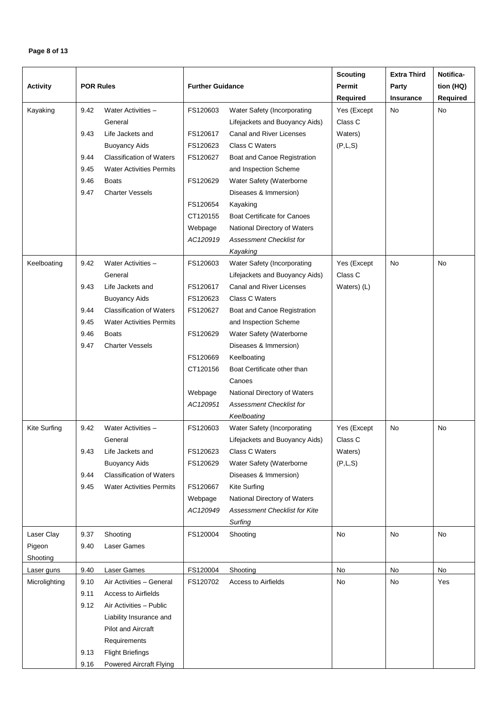# **Page 8 of 13**

| <b>Activity</b>     | <b>POR Rules</b> |                                 | <b>Further Guidance</b> |                                    | <b>Scouting</b><br>Permit<br><b>Required</b> | <b>Extra Third</b><br>Party<br><b>Insurance</b> | Notifica-<br>tion (HQ)<br>Required |
|---------------------|------------------|---------------------------------|-------------------------|------------------------------------|----------------------------------------------|-------------------------------------------------|------------------------------------|
| Kayaking            | 9.42             | Water Activities -              | FS120603                | Water Safety (Incorporating        | Yes (Except                                  | No                                              | No                                 |
|                     |                  | General                         |                         | Lifejackets and Buoyancy Aids)     | Class C                                      |                                                 |                                    |
|                     | 9.43             | Life Jackets and                | FS120617                | Canal and River Licenses           | Waters)                                      |                                                 |                                    |
|                     |                  | <b>Buoyancy Aids</b>            | FS120623                | Class C Waters                     | (P,L,S)                                      |                                                 |                                    |
|                     | 9.44             | <b>Classification of Waters</b> | FS120627                | Boat and Canoe Registration        |                                              |                                                 |                                    |
|                     | 9.45             | <b>Water Activities Permits</b> |                         | and Inspection Scheme              |                                              |                                                 |                                    |
|                     | 9.46             | <b>Boats</b>                    | FS120629                | Water Safety (Waterborne           |                                              |                                                 |                                    |
|                     | 9.47             | <b>Charter Vessels</b>          |                         | Diseases & Immersion)              |                                              |                                                 |                                    |
|                     |                  |                                 | FS120654                | Kayaking                           |                                              |                                                 |                                    |
|                     |                  |                                 | CT120155                | <b>Boat Certificate for Canoes</b> |                                              |                                                 |                                    |
|                     |                  |                                 | Webpage                 | National Directory of Waters       |                                              |                                                 |                                    |
|                     |                  |                                 | AC120919                | <b>Assessment Checklist for</b>    |                                              |                                                 |                                    |
|                     |                  |                                 |                         | Kayaking                           |                                              |                                                 |                                    |
| Keelboating         | 9.42             | Water Activities -              | FS120603                | Water Safety (Incorporating        | Yes (Except                                  | <b>No</b>                                       | No                                 |
|                     |                  | General                         |                         | Lifejackets and Buoyancy Aids)     | Class C                                      |                                                 |                                    |
|                     | 9.43             | Life Jackets and                | FS120617                | Canal and River Licenses           | Waters) (L)                                  |                                                 |                                    |
|                     |                  | <b>Buoyancy Aids</b>            | FS120623                | Class C Waters                     |                                              |                                                 |                                    |
|                     | 9.44             | <b>Classification of Waters</b> | FS120627                | Boat and Canoe Registration        |                                              |                                                 |                                    |
|                     | 9.45             | <b>Water Activities Permits</b> |                         | and Inspection Scheme              |                                              |                                                 |                                    |
|                     | 9.46             | <b>Boats</b>                    | FS120629                | Water Safety (Waterborne           |                                              |                                                 |                                    |
|                     | 9.47             | <b>Charter Vessels</b>          |                         | Diseases & Immersion)              |                                              |                                                 |                                    |
|                     |                  |                                 | FS120669                | Keelboating                        |                                              |                                                 |                                    |
|                     |                  |                                 | CT120156                | Boat Certificate other than        |                                              |                                                 |                                    |
|                     |                  |                                 |                         | Canoes                             |                                              |                                                 |                                    |
|                     |                  |                                 | Webpage                 | National Directory of Waters       |                                              |                                                 |                                    |
|                     |                  |                                 | AC120951                | <b>Assessment Checklist for</b>    |                                              |                                                 |                                    |
|                     |                  |                                 |                         | Keelboating                        |                                              |                                                 |                                    |
| <b>Kite Surfing</b> | 9.42             | Water Activities -              | FS120603                | Water Safety (Incorporating        | Yes (Except                                  | <b>No</b>                                       | No                                 |
|                     |                  | General                         |                         | Lifejackets and Buoyancy Aids)     | Class C                                      |                                                 |                                    |
|                     | 9.43             | Life Jackets and                | FS120623                | Class C Waters                     | Waters)                                      |                                                 |                                    |
|                     |                  | <b>Buoyancy Aids</b>            | FS120629                | Water Safety (Waterborne           | (P,L,S)                                      |                                                 |                                    |
|                     | 9.44             | <b>Classification of Waters</b> |                         | Diseases & Immersion)              |                                              |                                                 |                                    |
|                     | 9.45             | <b>Water Activities Permits</b> | FS120667                | <b>Kite Surfing</b>                |                                              |                                                 |                                    |
|                     |                  |                                 | Webpage                 | National Directory of Waters       |                                              |                                                 |                                    |
|                     |                  |                                 | AC120949                | Assessment Checklist for Kite      |                                              |                                                 |                                    |
|                     |                  |                                 |                         | Surfing                            |                                              |                                                 |                                    |
| Laser Clay          | 9.37             | Shooting                        | FS120004                | Shooting                           | No                                           | No                                              | No                                 |
| Pigeon              | 9.40             | Laser Games                     |                         |                                    |                                              |                                                 |                                    |
| Shooting            |                  |                                 |                         |                                    |                                              |                                                 |                                    |
| Laser guns          | 9.40             | Laser Games                     | FS120004                | Shooting                           | No                                           | No                                              | No                                 |
| Microlighting       | 9.10             | Air Activities - General        | FS120702                | <b>Access to Airfields</b>         | No                                           | No                                              | Yes                                |
|                     | 9.11             | <b>Access to Airfields</b>      |                         |                                    |                                              |                                                 |                                    |
|                     | 9.12             | Air Activities - Public         |                         |                                    |                                              |                                                 |                                    |
|                     |                  | Liability Insurance and         |                         |                                    |                                              |                                                 |                                    |
|                     |                  | <b>Pilot and Aircraft</b>       |                         |                                    |                                              |                                                 |                                    |
|                     |                  | Requirements                    |                         |                                    |                                              |                                                 |                                    |
|                     | 9.13             | <b>Flight Briefings</b>         |                         |                                    |                                              |                                                 |                                    |
|                     | 9.16             | <b>Powered Aircraft Flying</b>  |                         |                                    |                                              |                                                 |                                    |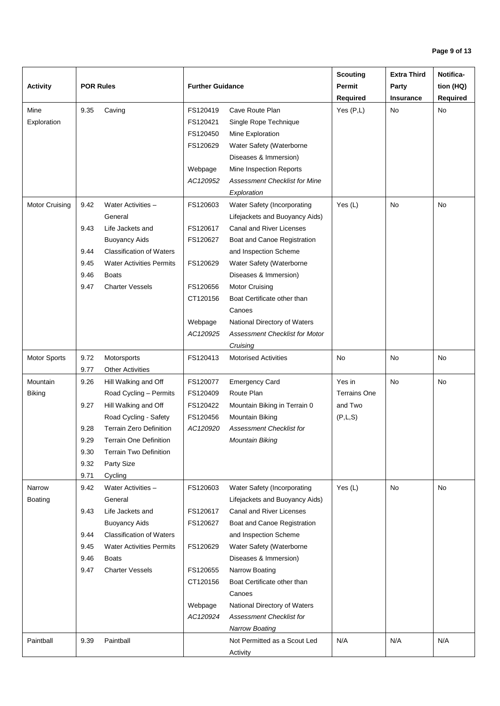|                 |                  |                                 |                         |                                       | <b>Scouting</b>     | <b>Extra Third</b> | Notifica- |
|-----------------|------------------|---------------------------------|-------------------------|---------------------------------------|---------------------|--------------------|-----------|
| <b>Activity</b> | <b>POR Rules</b> |                                 | <b>Further Guidance</b> |                                       | Permit              | Party              | tion (HQ) |
|                 |                  |                                 |                         |                                       | <b>Required</b>     | <b>Insurance</b>   | Required  |
| Mine            | 9.35             | Caving                          | FS120419                | Cave Route Plan                       | Yes $(P,L)$         | <b>No</b>          | No        |
| Exploration     |                  |                                 | FS120421                | Single Rope Technique                 |                     |                    |           |
|                 |                  |                                 | FS120450                | Mine Exploration                      |                     |                    |           |
|                 |                  |                                 | FS120629                | Water Safety (Waterborne              |                     |                    |           |
|                 |                  |                                 |                         | Diseases & Immersion)                 |                     |                    |           |
|                 |                  |                                 | Webpage                 | Mine Inspection Reports               |                     |                    |           |
|                 |                  |                                 | AC120952                | <b>Assessment Checklist for Mine</b>  |                     |                    |           |
|                 |                  |                                 |                         | Exploration                           |                     |                    |           |
| Motor Cruising  | 9.42             | Water Activities -              | FS120603                | Water Safety (Incorporating           | Yes $(L)$           | <b>No</b>          | <b>No</b> |
|                 |                  | General                         |                         | Lifejackets and Buoyancy Aids)        |                     |                    |           |
|                 | 9.43             | Life Jackets and                | FS120617                | Canal and River Licenses              |                     |                    |           |
|                 |                  | <b>Buoyancy Aids</b>            | FS120627                | Boat and Canoe Registration           |                     |                    |           |
|                 | 9.44             | <b>Classification of Waters</b> |                         | and Inspection Scheme                 |                     |                    |           |
|                 | 9.45             | <b>Water Activities Permits</b> | FS120629                | Water Safety (Waterborne              |                     |                    |           |
|                 | 9.46             | <b>Boats</b>                    |                         | Diseases & Immersion)                 |                     |                    |           |
|                 | 9.47             | <b>Charter Vessels</b>          | FS120656                | <b>Motor Cruising</b>                 |                     |                    |           |
|                 |                  |                                 | CT120156                | Boat Certificate other than           |                     |                    |           |
|                 |                  |                                 |                         | Canoes                                |                     |                    |           |
|                 |                  |                                 | Webpage                 | National Directory of Waters          |                     |                    |           |
|                 |                  |                                 | AC120925                | <b>Assessment Checklist for Motor</b> |                     |                    |           |
|                 |                  |                                 |                         | Cruising                              |                     |                    |           |
| Motor Sports    | 9.72             | Motorsports                     | FS120413                | <b>Motorised Activities</b>           | No                  | No                 | No        |
|                 | 9.77             | <b>Other Activities</b>         |                         |                                       |                     |                    |           |
| Mountain        | 9.26             | Hill Walking and Off            | FS120077                | <b>Emergency Card</b>                 | Yes in              | No                 | No        |
| <b>Biking</b>   |                  | Road Cycling - Permits          | FS120409                | Route Plan                            | <b>Terrains One</b> |                    |           |
|                 | 9.27             | Hill Walking and Off            | FS120422                | Mountain Biking in Terrain 0          | and Two             |                    |           |
|                 |                  | Road Cycling - Safety           | FS120456                | <b>Mountain Biking</b>                | (P,L,S)             |                    |           |
|                 | 9.28             | <b>Terrain Zero Definition</b>  | AC120920                | <b>Assessment Checklist for</b>       |                     |                    |           |
|                 | 9.29             | <b>Terrain One Definition</b>   |                         | Mountain Biking                       |                     |                    |           |
|                 | 9.30             | <b>Terrain Two Definition</b>   |                         |                                       |                     |                    |           |
|                 | 9.32             | Party Size                      |                         |                                       |                     |                    |           |
|                 | 9.71             | Cycling                         |                         |                                       |                     |                    |           |
| Narrow          | 9.42             | Water Activities -              | FS120603                | Water Safety (Incorporating           | Yes $(L)$           | No                 | No        |
| <b>Boating</b>  |                  | General                         |                         | Lifejackets and Buoyancy Aids)        |                     |                    |           |
|                 | 9.43             | Life Jackets and                | FS120617                | Canal and River Licenses              |                     |                    |           |
|                 |                  | <b>Buoyancy Aids</b>            | FS120627                | Boat and Canoe Registration           |                     |                    |           |
|                 | 9.44             | <b>Classification of Waters</b> |                         | and Inspection Scheme                 |                     |                    |           |
|                 | 9.45             | <b>Water Activities Permits</b> | FS120629                | Water Safety (Waterborne              |                     |                    |           |
|                 | 9.46             | <b>Boats</b>                    |                         | Diseases & Immersion)                 |                     |                    |           |
|                 | 9.47             | <b>Charter Vessels</b>          | FS120655                | Narrow Boating                        |                     |                    |           |
|                 |                  |                                 | CT120156                | Boat Certificate other than           |                     |                    |           |
|                 |                  |                                 |                         | Canoes                                |                     |                    |           |
|                 |                  |                                 | Webpage                 | National Directory of Waters          |                     |                    |           |
|                 |                  |                                 | AC120924                | Assessment Checklist for              |                     |                    |           |
|                 |                  |                                 |                         | <b>Narrow Boating</b>                 |                     |                    |           |
| Paintball       | 9.39             | Paintball                       |                         | Not Permitted as a Scout Led          | N/A                 | N/A                | N/A       |
|                 |                  |                                 |                         | Activity                              |                     |                    |           |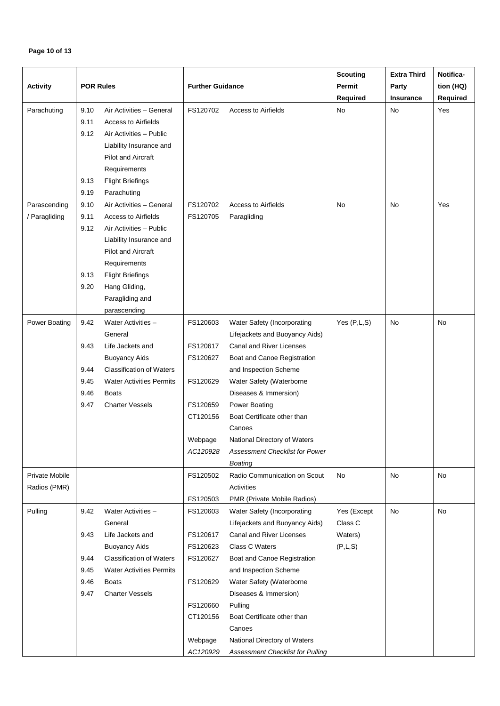# **Page 10 of 13**

|                       |                  |                                        |                         |                                            | <b>Scouting</b> | <b>Extra Third</b> | Notifica- |
|-----------------------|------------------|----------------------------------------|-------------------------|--------------------------------------------|-----------------|--------------------|-----------|
| <b>Activity</b>       | <b>POR Rules</b> |                                        | <b>Further Guidance</b> |                                            | Permit          | Party              | tion (HQ) |
|                       |                  |                                        |                         |                                            | Required        | Insurance          | Required  |
| Parachuting           | 9.10             | Air Activities - General               | FS120702                | Access to Airfields                        | No              | <b>No</b>          | Yes       |
|                       | 9.11             | <b>Access to Airfields</b>             |                         |                                            |                 |                    |           |
|                       | 9.12             | Air Activities - Public                |                         |                                            |                 |                    |           |
|                       |                  | Liability Insurance and                |                         |                                            |                 |                    |           |
|                       |                  | <b>Pilot and Aircraft</b>              |                         |                                            |                 |                    |           |
|                       |                  | Requirements                           |                         |                                            |                 |                    |           |
|                       | 9.13             | <b>Flight Briefings</b>                |                         |                                            |                 |                    |           |
|                       | 9.19             | Parachuting                            |                         |                                            |                 |                    |           |
| Parascending          | 9.10             | Air Activities - General               | FS120702                | <b>Access to Airfields</b>                 | <b>No</b>       | <b>No</b>          | Yes       |
| / Paragliding         | 9.11             | <b>Access to Airfields</b>             | FS120705                | Paragliding                                |                 |                    |           |
|                       | 9.12             | Air Activities - Public                |                         |                                            |                 |                    |           |
|                       |                  | Liability Insurance and                |                         |                                            |                 |                    |           |
|                       |                  | <b>Pilot and Aircraft</b>              |                         |                                            |                 |                    |           |
|                       |                  | Requirements                           |                         |                                            |                 |                    |           |
|                       | 9.13             | <b>Flight Briefings</b>                |                         |                                            |                 |                    |           |
|                       | 9.20             | Hang Gliding,                          |                         |                                            |                 |                    |           |
|                       |                  | Paragliding and                        |                         |                                            |                 |                    |           |
|                       |                  | parascending                           |                         |                                            |                 |                    |           |
| Power Boating         | 9.42             | Water Activities -                     | FS120603                | Water Safety (Incorporating                | Yes $(P,L,S)$   | No                 | No        |
|                       |                  | General                                |                         | Lifejackets and Buoyancy Aids)             |                 |                    |           |
|                       | 9.43             | Life Jackets and                       | FS120617                | Canal and River Licenses                   |                 |                    |           |
|                       |                  | <b>Buoyancy Aids</b>                   | FS120627                | Boat and Canoe Registration                |                 |                    |           |
|                       | 9.44             | <b>Classification of Waters</b>        |                         | and Inspection Scheme                      |                 |                    |           |
|                       |                  |                                        |                         |                                            |                 |                    |           |
|                       | 9.45             | <b>Water Activities Permits</b>        | FS120629                | Water Safety (Waterborne                   |                 |                    |           |
|                       | 9.46             | <b>Boats</b><br><b>Charter Vessels</b> | FS120659                | Diseases & Immersion)                      |                 |                    |           |
|                       | 9.47             |                                        |                         | Power Boating                              |                 |                    |           |
|                       |                  |                                        | CT120156                | Boat Certificate other than                |                 |                    |           |
|                       |                  |                                        |                         | Canoes                                     |                 |                    |           |
|                       |                  |                                        | Webpage                 | National Directory of Waters               |                 |                    |           |
|                       |                  |                                        | AC120928                | Assessment Checklist for Power             |                 |                    |           |
|                       |                  |                                        |                         | <b>Boating</b>                             |                 |                    |           |
| <b>Private Mobile</b> |                  |                                        | FS120502                | Radio Communication on Scout               | No              | No                 | No        |
| Radios (PMR)          |                  |                                        |                         | Activities                                 |                 |                    |           |
|                       |                  |                                        | FS120503                | PMR (Private Mobile Radios)                |                 |                    |           |
| Pulling               | 9.42             | Water Activities -                     | FS120603                | Water Safety (Incorporating                | Yes (Except     | No                 | No        |
|                       |                  | General                                |                         | Lifejackets and Buoyancy Aids)             | Class C         |                    |           |
|                       | 9.43             | Life Jackets and                       | FS120617                | Canal and River Licenses<br>Class C Waters | Waters)         |                    |           |
|                       |                  | <b>Buoyancy Aids</b>                   | FS120623                |                                            | (P,L,S)         |                    |           |
|                       | 9.44             | <b>Classification of Waters</b>        | FS120627                | Boat and Canoe Registration                |                 |                    |           |
|                       | 9.45             | <b>Water Activities Permits</b>        |                         | and Inspection Scheme                      |                 |                    |           |
|                       | 9.46             | Boats                                  | FS120629                | Water Safety (Waterborne                   |                 |                    |           |
|                       | 9.47             | <b>Charter Vessels</b>                 |                         | Diseases & Immersion)                      |                 |                    |           |
|                       |                  |                                        | FS120660                | Pulling                                    |                 |                    |           |
|                       |                  |                                        | CT120156                | Boat Certificate other than                |                 |                    |           |
|                       |                  |                                        |                         | Canoes                                     |                 |                    |           |
|                       |                  |                                        | Webpage                 | National Directory of Waters               |                 |                    |           |
|                       |                  |                                        | AC120929                | Assessment Checklist for Pulling           |                 |                    |           |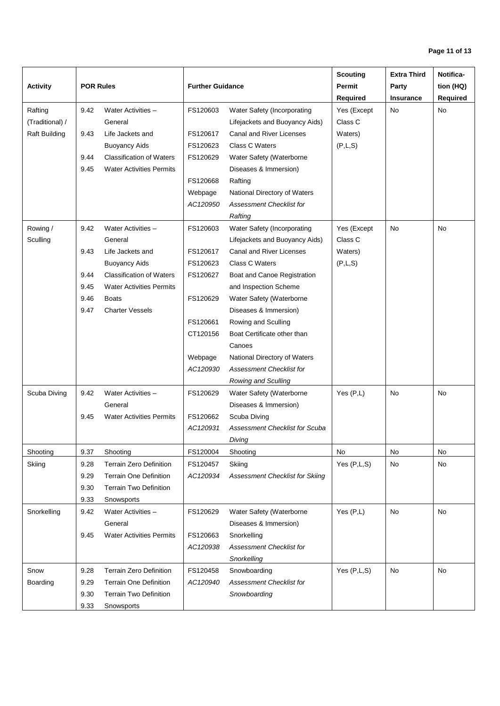|                      |                  |                                 |                         |                                 | <b>Scouting</b> | <b>Extra Third</b> | Notifica- |
|----------------------|------------------|---------------------------------|-------------------------|---------------------------------|-----------------|--------------------|-----------|
| <b>Activity</b>      | <b>POR Rules</b> |                                 | <b>Further Guidance</b> |                                 | Permit          | Party              | tion (HQ) |
|                      |                  |                                 |                         |                                 | <b>Required</b> | Insurance          | Required  |
| Rafting              | 9.42             | Water Activities -              | FS120603                | Water Safety (Incorporating     | Yes (Except     | No                 | No        |
| (Traditional) /      |                  | General                         |                         | Lifejackets and Buoyancy Aids)  | Class C         |                    |           |
| <b>Raft Building</b> | 9.43             | Life Jackets and                | FS120617                | Canal and River Licenses        | Waters)         |                    |           |
|                      |                  | <b>Buoyancy Aids</b>            | FS120623                | Class C Waters                  | (P,L,S)         |                    |           |
|                      | 9.44             | <b>Classification of Waters</b> | FS120629                | Water Safety (Waterborne        |                 |                    |           |
|                      | 9.45             | <b>Water Activities Permits</b> |                         | Diseases & Immersion)           |                 |                    |           |
|                      |                  |                                 | FS120668                | Rafting                         |                 |                    |           |
|                      |                  |                                 | Webpage                 | National Directory of Waters    |                 |                    |           |
|                      |                  |                                 | AC120950                | <b>Assessment Checklist for</b> |                 |                    |           |
|                      |                  |                                 |                         | Rafting                         |                 |                    |           |
| Rowing /             | 9.42             | Water Activities -              | FS120603                | Water Safety (Incorporating     | Yes (Except     | No                 | No        |
| Sculling             |                  | General                         |                         | Lifejackets and Buoyancy Aids)  | Class C         |                    |           |
|                      | 9.43             | Life Jackets and                | FS120617                | Canal and River Licenses        | Waters)         |                    |           |
|                      |                  | <b>Buoyancy Aids</b>            | FS120623                | Class C Waters                  | (P,L,S)         |                    |           |
|                      | 9.44             | <b>Classification of Waters</b> | FS120627                | Boat and Canoe Registration     |                 |                    |           |
|                      | 9.45             | <b>Water Activities Permits</b> |                         | and Inspection Scheme           |                 |                    |           |
|                      | 9.46             | <b>Boats</b>                    | FS120629                | Water Safety (Waterborne        |                 |                    |           |
|                      | 9.47             | <b>Charter Vessels</b>          |                         | Diseases & Immersion)           |                 |                    |           |
|                      |                  |                                 | FS120661                | Rowing and Sculling             |                 |                    |           |
|                      |                  |                                 | CT120156                | Boat Certificate other than     |                 |                    |           |
|                      |                  |                                 |                         | Canoes                          |                 |                    |           |
|                      |                  |                                 | Webpage                 | National Directory of Waters    |                 |                    |           |
|                      |                  |                                 | AC120930                | <b>Assessment Checklist for</b> |                 |                    |           |
|                      |                  |                                 |                         | Rowing and Sculling             |                 |                    |           |
| Scuba Diving         | 9.42             | Water Activities -              | FS120629                | Water Safety (Waterborne        | Yes (P,L)       | No                 | No.       |
|                      |                  | General                         |                         | Diseases & Immersion)           |                 |                    |           |
|                      | 9.45             | <b>Water Activities Permits</b> | FS120662                | Scuba Diving                    |                 |                    |           |
|                      |                  |                                 | AC120931                | Assessment Checklist for Scuba  |                 |                    |           |
|                      |                  |                                 |                         | Diving                          |                 |                    |           |
| Shooting             | 9.37             | Shooting                        | FS120004                | Shooting                        | No              | No                 | No        |
| Skiing               | 9.28             | <b>Terrain Zero Definition</b>  | FS120457                | Skiing                          | Yes (P,L,S)     | No                 | No        |
|                      | 9.29             | <b>Terrain One Definition</b>   | AC120934                | Assessment Checklist for Skiing |                 |                    |           |
|                      | 9.30             | <b>Terrain Two Definition</b>   |                         |                                 |                 |                    |           |
|                      | 9.33             | Snowsports                      |                         |                                 |                 |                    |           |
| Snorkelling          | 9.42             | Water Activities -              | FS120629                | Water Safety (Waterborne        | Yes $(P,L)$     | No                 | No        |
|                      |                  | General                         |                         | Diseases & Immersion)           |                 |                    |           |
|                      | 9.45             | <b>Water Activities Permits</b> | FS120663                | Snorkelling                     |                 |                    |           |
|                      |                  |                                 | AC120938                | Assessment Checklist for        |                 |                    |           |
|                      |                  |                                 |                         | Snorkelling                     |                 |                    |           |
| Snow                 | 9.28             | <b>Terrain Zero Definition</b>  | FS120458                | Snowboarding                    | Yes (P,L,S)     | No                 | No        |
| Boarding             | 9.29             | <b>Terrain One Definition</b>   | AC120940                | <b>Assessment Checklist for</b> |                 |                    |           |
|                      | 9.30             | <b>Terrain Two Definition</b>   |                         | Snowboarding                    |                 |                    |           |
|                      | 9.33             | Snowsports                      |                         |                                 |                 |                    |           |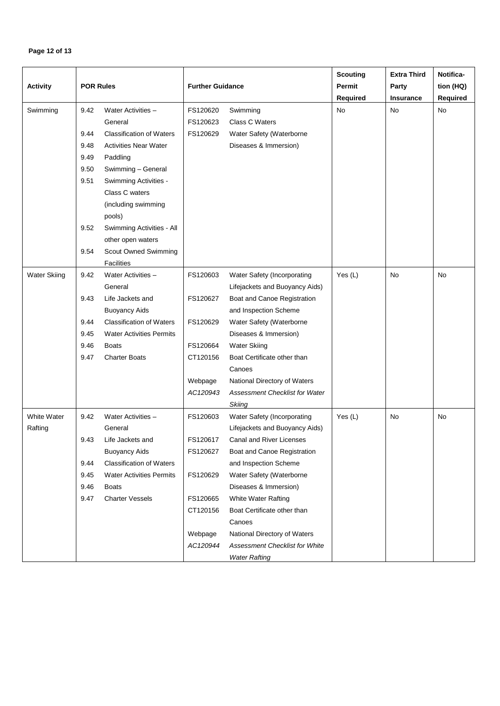# **Page 12 of 13**

| <b>Activity</b>     | <b>POR Rules</b> |                                 | <b>Further Guidance</b> |                                       | <b>Scouting</b><br>Permit<br>Required | <b>Extra Third</b><br>Party<br>Insurance | Notifica-<br>tion (HQ)<br>Required |
|---------------------|------------------|---------------------------------|-------------------------|---------------------------------------|---------------------------------------|------------------------------------------|------------------------------------|
| Swimming            | 9.42             | Water Activities -              | FS120620                | Swimming                              | No                                    | No                                       | No                                 |
|                     |                  | General                         | FS120623                | Class C Waters                        |                                       |                                          |                                    |
|                     | 9.44             | <b>Classification of Waters</b> | FS120629                | Water Safety (Waterborne              |                                       |                                          |                                    |
|                     | 9.48             | <b>Activities Near Water</b>    |                         | Diseases & Immersion)                 |                                       |                                          |                                    |
|                     | 9.49             | Paddling                        |                         |                                       |                                       |                                          |                                    |
|                     | 9.50             | Swimming - General              |                         |                                       |                                       |                                          |                                    |
|                     | 9.51             | Swimming Activities -           |                         |                                       |                                       |                                          |                                    |
|                     |                  | Class C waters                  |                         |                                       |                                       |                                          |                                    |
|                     |                  | (including swimming             |                         |                                       |                                       |                                          |                                    |
|                     |                  | pools)                          |                         |                                       |                                       |                                          |                                    |
|                     | 9.52             | Swimming Activities - All       |                         |                                       |                                       |                                          |                                    |
|                     |                  | other open waters               |                         |                                       |                                       |                                          |                                    |
|                     | 9.54             | Scout Owned Swimming            |                         |                                       |                                       |                                          |                                    |
|                     |                  | Facilities                      |                         |                                       |                                       |                                          |                                    |
| <b>Water Skiing</b> | 9.42             | Water Activities -              | FS120603                | Water Safety (Incorporating           | Yes $(L)$                             | <b>No</b>                                | No                                 |
|                     |                  | General                         |                         | Lifejackets and Buoyancy Aids)        |                                       |                                          |                                    |
|                     | 9.43             | Life Jackets and                | FS120627                | Boat and Canoe Registration           |                                       |                                          |                                    |
|                     |                  | <b>Buoyancy Aids</b>            |                         | and Inspection Scheme                 |                                       |                                          |                                    |
|                     | 9.44             | <b>Classification of Waters</b> | FS120629                | Water Safety (Waterborne              |                                       |                                          |                                    |
|                     | 9.45             | <b>Water Activities Permits</b> |                         | Diseases & Immersion)                 |                                       |                                          |                                    |
|                     | 9.46             | <b>Boats</b>                    | FS120664                | <b>Water Skiing</b>                   |                                       |                                          |                                    |
|                     | 9.47             | <b>Charter Boats</b>            | CT120156                | Boat Certificate other than<br>Canoes |                                       |                                          |                                    |
|                     |                  |                                 | Webpage                 | National Directory of Waters          |                                       |                                          |                                    |
|                     |                  |                                 | AC120943                | Assessment Checklist for Water        |                                       |                                          |                                    |
|                     |                  |                                 |                         | <b>Skiing</b>                         |                                       |                                          |                                    |
| White Water         | 9.42             | Water Activities -              | FS120603                | Water Safety (Incorporating           | Yes $(L)$                             | No                                       | No                                 |
| Rafting             |                  | General                         |                         | Lifejackets and Buoyancy Aids)        |                                       |                                          |                                    |
|                     | 9.43             | Life Jackets and                | FS120617                | Canal and River Licenses              |                                       |                                          |                                    |
|                     |                  | <b>Buoyancy Aids</b>            | FS120627                | Boat and Canoe Registration           |                                       |                                          |                                    |
|                     | 9.44             | <b>Classification of Waters</b> |                         | and Inspection Scheme                 |                                       |                                          |                                    |
|                     | 9.45             | <b>Water Activities Permits</b> | FS120629                | Water Safety (Waterborne              |                                       |                                          |                                    |
|                     | 9.46             | <b>Boats</b>                    |                         | Diseases & Immersion)                 |                                       |                                          |                                    |
|                     | 9.47             | <b>Charter Vessels</b>          | FS120665                | White Water Rafting                   |                                       |                                          |                                    |
|                     |                  |                                 | CT120156                | Boat Certificate other than           |                                       |                                          |                                    |
|                     |                  |                                 |                         | Canoes                                |                                       |                                          |                                    |
|                     |                  |                                 | Webpage                 | National Directory of Waters          |                                       |                                          |                                    |
|                     |                  |                                 | AC120944                | Assessment Checklist for White        |                                       |                                          |                                    |
|                     |                  |                                 |                         | <b>Water Rafting</b>                  |                                       |                                          |                                    |